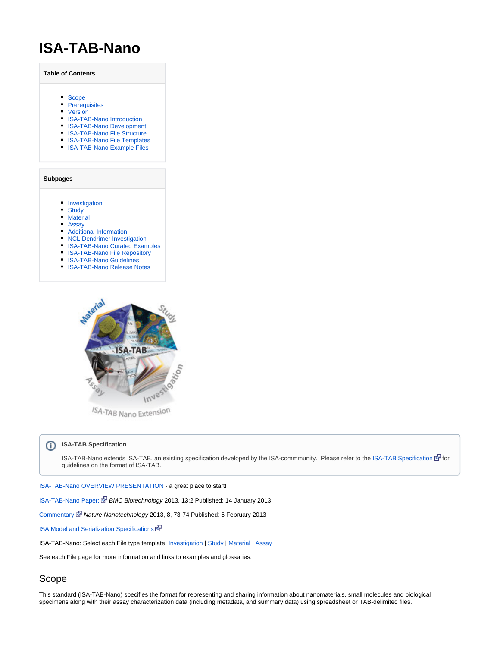# **ISA-TAB-Nano**

**Table of Contents**

- [Scope](#page-0-0)
- [Prerequisites](#page-0-1)
- [Version](#page-1-0)
- [ISA-TAB-Nano Introduction](#page-1-1)
- [ISA-TAB-Nano Development](#page-1-2)
- [ISA-TAB-Nano File Structure](#page-3-0)
- [ISA-TAB-Nano File Templates](#page-4-0)
- [ISA-TAB-Nano Example Files](#page-4-1)

**Subpages**

- [Investigation](https://wiki.nci.nih.gov/display/ICR/Investigation)
- [Study](https://wiki.nci.nih.gov/display/ICR/Study)
- [Material](https://wiki.nci.nih.gov/display/ICR/Material)
- [Assay](https://wiki.nci.nih.gov/display/ICR/Assay)
- [Additional Information](https://wiki.nci.nih.gov/display/ICR/Additional+Information)
- [NCL Dendrimer Investigation](https://wiki.nci.nih.gov/display/ICR/NCL+Dendrimer+Investigation)
- [ISA-TAB-Nano Curated Examples](https://wiki.nci.nih.gov/display/ICR/ISA-TAB-Nano+Curated+Examples)
- [ISA-TAB-Nano File Repository](https://wiki.nci.nih.gov/display/ICR/ISA-TAB-Nano+File+Repository)
- [ISA-TAB-Nano Guidelines](https://wiki.nci.nih.gov/display/ICR/ISA-TAB-Nano+Guidelines)
- [ISA-TAB-Nano Release Notes](https://wiki.nci.nih.gov/display/ICR/ISA-TAB-Nano+Release+Notes)



/SA-TAB Nano Extension

#### **ISA-TAB Specification** ത

ISA-TAB-Nano extends ISA-TAB, an existing specification developed by the ISA-commmunity. Please refer to the [ISA-TAB Specification](http://isatab.sourceforge.net/docs/ISA-TAB_release-candidate-1_v1.0_24nov08.pdf) do guidelines on the format of ISA-TAB.

[ISA-TAB-Nano OVERVIEW PRESENTATION](https://wiki.nci.nih.gov/download/attachments/253887742/ISA-TAB-Nano_Overview_508_c.pptx) - a great place to start!

[ISA-TAB-Nano Paper:](http://www.biomedcentral.com/1472-6750/13/2/abstract) [B](http://www.cancer.gov/policies/linking)MC Biotechnology 2013, **13**:2 Published: 14 January 2013

[Commentary](http://www.nature.com/nnano/journal/v8/n2/full/nnano.2013.12.html) [N](http://www.cancer.gov/policies/linking)ature Nanotechnology 2013, 8, 73-74 Published: 5 February 2013

[ISA Model and Serialization Specifications](https://isa-specs.readthedocs.io/en/latest/)

ISA-TAB-Nano: Select each File type template: [Investigation](https://wiki.nci.nih.gov/download/attachments/253887739/i_xxxx_508_c.xls) | [Study](https://wiki.nci.nih.gov/download/attachments/253887739/s_xxxx_508_c.xls) | [Material](https://wiki.nci.nih.gov/download/attachments/253887739/m_xxxx_508_c.xls) | [Assay](https://wiki.nci.nih.gov/download/attachments/253887739/a_xxxx_508_c.xls)

See each File page for more information and links to examples and glossaries.

### <span id="page-0-0"></span>Scope

<span id="page-0-1"></span>This standard (ISA-TAB-Nano) specifies the format for representing and sharing information about nanomaterials, small molecules and biological specimens along with their assay characterization data (including metadata, and summary data) using spreadsheet or TAB-delimited files.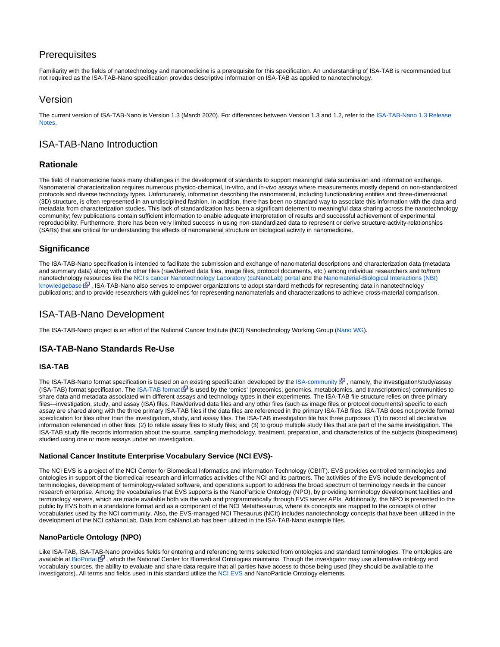### **Prerequisites**

Familiarity with the fields of nanotechnology and nanomedicine is a prerequisite for this specification. An understanding of ISA-TAB is recommended but not required as the ISA-TAB-Nano specification provides descriptive information on ISA-TAB as applied to nanotechnology.

### <span id="page-1-0"></span>Version

The current version of ISA-TAB-Nano is Version 1.3 (March 2020). For differences between Version 1.3 and 1.2, refer to the [ISA-TAB-Nano 1.3 Release](https://wiki.nci.nih.gov/display/ICR/ISA-TAB-Nano+1.3+Release+Notes)  [Notes.](https://wiki.nci.nih.gov/display/ICR/ISA-TAB-Nano+1.3+Release+Notes)

### <span id="page-1-1"></span>ISA-TAB-Nano Introduction

#### **Rationale**

The field of nanomedicine faces many challenges in the development of standards to support meaningful data submission and information exchange. Nanomaterial characterization requires numerous physico-chemical, in-vitro, and in-vivo assays where measurements mostly depend on non-standardized protocols and diverse technology types. Unfortunately, information describing the nanomaterial, including functionalizing entities and three-dimensional (3D) structure, is often represented in an undisciplined fashion. In addition, there has been no standard way to associate this information with the data and metadata from characterization studies. This lack of standardization has been a significant deterrent to meaningful data sharing across the nanotechnology community; few publications contain sufficient information to enable adequate interpretation of results and successful achievement of experimental reproducibility. Furthermore, there has been very limited success in using non-standardized data to represent or derive structure-activity-relationships (SARs) that are critical for understanding the effects of nanomaterial structure on biological activity in nanomedicine.

### **Significance**

The ISA-TAB-Nano specification is intended to facilitate the submission and exchange of nanomaterial descriptions and characterization data (metadata and summary data) along with the other files (raw/derived data files, image files, protocol documents, etc.) among individual researchers and to/from nanotechnology resources like the [NCI's cancer Nanotechnology Laboratory \(caNanoLab\) portal](https://cananolab.nci.nih.gov/caNanoLab) and the [Nanomaterial-Biological Interactions \(NBI\)](http://nbi.oregonstate.edu/)  [knowledgebase](http://nbi.oregonstate.edu/)  $\mathbb{F}$ [.](http://www.cancer.gov/policies/linking) ISA-TAB-Nano also serves to empower organizations to adopt standard methods for representing data in nanotechnology publications; and to provide researchers with guidelines for representing nanomaterials and characterizations to achieve cross-material comparison.

### <span id="page-1-2"></span>ISA-TAB-Nano Development

The ISA-TAB-Nano project is an effort of the National Cancer Institute (NCI) Nanotechnology Working Group ([Nano WG\)](https://nciphub.org/groups/nanowg).

### **ISA-TAB-Nano Standards Re-Use**

#### **ISA-TAB**

The ISA-TAB-Nano format specification is based on an existing specification developed by the [ISA-community](https://isa-tools.org)  $\mathbb{F}$ [,](http://www.cancer.gov/policies/linking) namely, the investigation/study/assay (ISA-TAB) format specification. The [ISA-TAB format](http://www.isa-tools.org) is used by the 'omics' (proteomics, genomics, metabolomics, and transcriptomics) communities to share data and metadata associated with different assays and technology types in their experiments. The ISA-TAB file structure relies on three primary files---investigation, study, and assay (ISA) files. Raw/derived data files and any other files (such as image files or protocol documents) specific to each assay are shared along with the three primary ISA-TAB files if the data files are referenced in the primary ISA-TAB files. ISA-TAB does not provide format specification for files other than the investigation, study, and assay files. The ISA-TAB investigation file has three purposes: (1) to record all declarative information referenced in other files; (2) to relate assay files to study files; and (3) to group multiple study files that are part of the same investigation. The ISA-TAB study file records information about the source, sampling methodology, treatment, preparation, and characteristics of the subjects (biospecimens) studied using one or more assays under an investigation.

#### **National Cancer Institute Enterprise Vocabulary Service (NCI EVS)-**

The NCI EVS is a project of the NCI Center for Biomedical Informatics and Information Technology (CBIIT). EVS provides controlled terminologies and ontologies in support of the biomedical research and informatics activities of the NCI and its partners. The activities of the EVS include development of terminologies, development of terminology-related software, and operations support to address the broad spectrum of terminology needs in the cancer research enterprise. Among the vocabularies that EVS supports is the NanoParticle Ontology (NPO), by providing terminology development facilities and terminology servers, which are made available both via the web and programmatically through EVS server APIs. Additionally, the NPO is presented to the public by EVS both in a standalone format and as a component of the NCI Metathesaurus, where its concepts are mapped to the concepts of other vocabularies used by the NCI community. Also, the EVS-managed NCI Thesaurus (NCIt) includes nanotechnology concepts that have been utilized in the development of the NCI caNanoLab. Data from caNanoLab has been utilized in the ISA-TAB-Nano example files.

#### **NanoParticle Ontology (NPO)**

Like ISA-TAB, ISA-TAB-Nano provides fields for entering and referencing terms selected from ontologies and standard terminologies. The ontologies are available at [BioPortal](http://www.bioontology.org)  $\mathbb{F}$ , which the National Center for Biomedical Ontologies maintains. Though the investigator may use alternative ontology and vocabulary sources, the ability to evaluate and share data require that all parties have access to those being used (they should be available to the investigators). All terms and fields used in this standard utilize the [NCI EVS](http://evs.nci.nih.gov) and NanoParticle Ontology elements.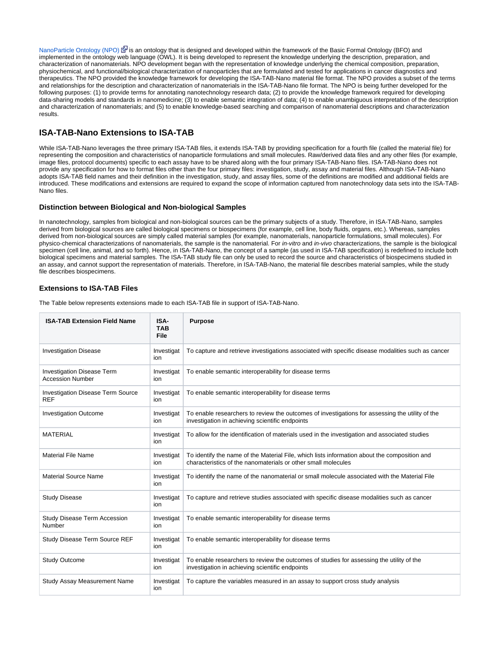[NanoParticle Ontology \(NPO\)](http://www.nano-ontology.org)  $\vec{B}$  is an ontology that is designed and developed within the framework of the Basic Formal Ontology (BFO) and implemented in the ontology web language (OWL). It is being developed to represent the knowledge underlying the description, preparation, and characterization of nanomaterials. NPO development began with the representation of knowledge underlying the chemical composition, preparation, physiochemical, and functional/biological characterization of nanoparticles that are formulated and tested for applications in cancer diagnostics and therapeutics. The NPO provided the knowledge framework for developing the ISA-TAB-Nano material file format. The NPO provides a subset of the terms and relationships for the description and characterization of nanomaterials in the ISA-TAB-Nano file format. The NPO is being further developed for the following purposes: (1) to provide terms for annotating nanotechnology research data; (2) to provide the knowledge framework required for developing data-sharing models and standards in nanomedicine; (3) to enable semantic integration of data; (4) to enable unambiguous interpretation of the description and characterization of nanomaterials; and (5) to enable knowledge-based searching and comparison of nanomaterial descriptions and characterization results.

### **ISA-TAB-Nano Extensions to ISA-TAB**

While ISA-TAB-Nano leverages the three primary ISA-TAB files, it extends ISA-TAB by providing specification for a fourth file (called the material file) for representing the composition and characteristics of nanoparticle formulations and small molecules. Raw/derived data files and any other files (for example, image files, protocol documents) specific to each assay have to be shared along with the four primary ISA-TAB-Nano files. ISA-TAB-Nano does not provide any specification for how to format files other than the four primary files: investigation, study, assay and material files. Although ISA-TAB-Nano adopts ISA-TAB field names and their definition in the investigation, study, and assay files, some of the definitions are modified and additional fields are introduced. These modifications and extensions are required to expand the scope of information captured from nanotechnology data sets into the ISA-TAB-Nano files.

#### **Distinction between Biological and Non-biological Samples**

In nanotechnology, samples from biological and non-biological sources can be the primary subjects of a study. Therefore, in ISA-TAB-Nano, samples derived from biological sources are called biological specimens or biospecimens (for example, cell line, body fluids, organs, etc.). Whereas, samples derived from non-biological sources are simply called material samples (for example, nanomaterials, nanoparticle formulations, small molecules). For physico-chemical characterizations of nanomaterials, the sample is the nanomaterial. For in-vitro and in-vivo characterizations, the sample is the biological specimen (cell line, animal, and so forth). Hence, in ISA-TAB-Nano, the concept of a sample (as used in ISA-TAB specification) is redefined to include both biological specimens and material samples. The ISA-TAB study file can only be used to record the source and characteristics of biospecimens studied in an assay, and cannot support the representation of materials. Therefore, in ISA-TAB-Nano, the material file describes material samples, while the study file describes biospecimens.

#### **Extensions to ISA-TAB Files**

The Table below represents extensions made to each ISA-TAB file in support of ISA-TAB-Nano.

| <b>ISA-TAB Extension Field Name</b>                          | ISA-<br><b>TAB</b><br>File | <b>Purpose</b>                                                                                                                                                |
|--------------------------------------------------------------|----------------------------|---------------------------------------------------------------------------------------------------------------------------------------------------------------|
| <b>Investigation Disease</b>                                 | Investigat<br>ion          | To capture and retrieve investigations associated with specific disease modalities such as cancer                                                             |
| <b>Investigation Disease Term</b><br><b>Accession Number</b> | Investigat<br>ion          | To enable semantic interoperability for disease terms                                                                                                         |
| <b>Investigation Disease Term Source</b><br><b>REF</b>       | Investigat<br>ion          | To enable semantic interoperability for disease terms                                                                                                         |
| <b>Investigation Outcome</b>                                 | Investigat<br>ion          | To enable researchers to review the outcomes of investigations for assessing the utility of the<br>investigation in achieving scientific endpoints            |
| <b>MATERIAL</b>                                              | Investigat<br>ion          | To allow for the identification of materials used in the investigation and associated studies                                                                 |
| <b>Material File Name</b>                                    | Investigat<br>ion          | To identify the name of the Material File, which lists information about the composition and<br>characteristics of the nanomaterials or other small molecules |
| <b>Material Source Name</b>                                  | Investigat<br>ion          | To identify the name of the nanomaterial or small molecule associated with the Material File                                                                  |
| <b>Study Disease</b>                                         | Investigat<br>ion          | To capture and retrieve studies associated with specific disease modalities such as cancer                                                                    |
| Study Disease Term Accession<br>Number                       | Investigat<br>ion          | To enable semantic interoperability for disease terms                                                                                                         |
| Study Disease Term Source REF                                | Investigat<br>ion          | To enable semantic interoperability for disease terms                                                                                                         |
| <b>Study Outcome</b>                                         | Investigat<br>ion          | To enable researchers to review the outcomes of studies for assessing the utility of the<br>investigation in achieving scientific endpoints                   |
| Study Assay Measurement Name                                 | Investigat<br>ion          | To capture the variables measured in an assay to support cross study analysis                                                                                 |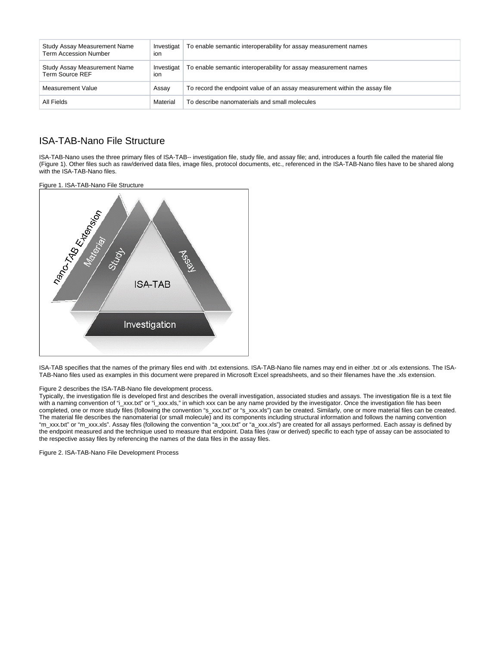| Study Assay Measurement Name<br><b>Term Accession Number</b> | Investigat<br>ion | To enable semantic interoperability for assay measurement names            |
|--------------------------------------------------------------|-------------------|----------------------------------------------------------------------------|
| Study Assay Measurement Name<br>Term Source REF              | Investigat<br>ion | To enable semantic interoperability for assay measurement names            |
| Measurement Value                                            | Assay             | To record the endpoint value of an assay measurement within the assay file |
| All Fields                                                   | Material          | To describe nanomaterials and small molecules                              |

### <span id="page-3-0"></span>ISA-TAB-Nano File Structure

ISA-TAB-Nano uses the three primary files of ISA-TAB-- investigation file, study file, and assay file; and, introduces a fourth file called the material file (Figure 1). Other files such as raw/derived data files, image files, protocol documents, etc., referenced in the ISA-TAB-Nano files have to be shared along with the ISA-TAB-Nano files.

Figure 1. ISA-TAB-Nano File Structure



ISA-TAB specifies that the names of the primary files end with .txt extensions. ISA-TAB-Nano file names may end in either .txt or .xls extensions. The ISA-TAB-Nano files used as examples in this document were prepared in Microsoft Excel spreadsheets, and so their filenames have the .xls extension.

#### Figure 2 describes the ISA-TAB-Nano file development process.

Typically, the investigation file is developed first and describes the overall investigation, associated studies and assays. The investigation file is a text file with a naming convention of "i\_xxx.txt" or "i\_xxx.xls," in which xxx can be any name provided by the investigator. Once the investigation file has been completed, one or more study files (following the convention "s\_xxx.txt" or "s\_xxx.xls") can be created. Similarly, one or more material files can be created. The material file describes the nanomaterial (or small molecule) and its components including structural information and follows the naming convention "m\_xxx.txt" or "m\_xxx.xls". Assay files (following the convention "a\_xxx.txt" or "a\_xxx.xls") are created for all assays performed. Each assay is defined by the endpoint measured and the technique used to measure that endpoint. Data files (raw or derived) specific to each type of assay can be associated to the respective assay files by referencing the names of the data files in the assay files.

Figure 2. ISA-TAB-Nano File Development Process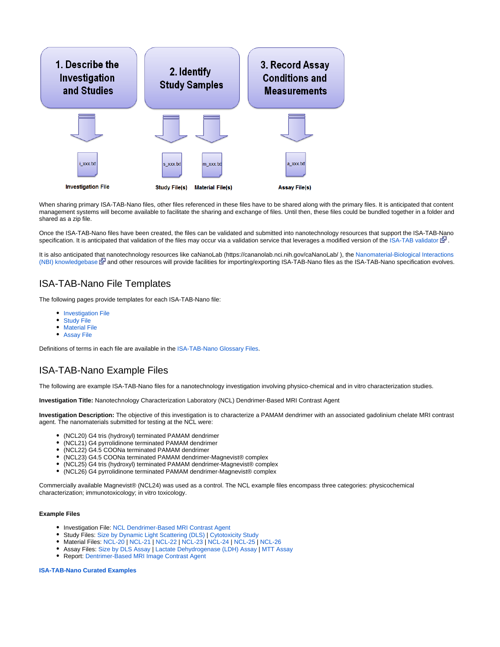

When sharing primary ISA-TAB-Nano files, other files referenced in these files have to be shared along with the primary files. It is anticipated that content management systems will become available to facilitate the sharing and exchange of files. Until then, these files could be bundled together in a folder and shared as a zip file.

Once the ISA-TAB-Nano files have been created, the files can be validated and submitted into nanotechnology resources that support the ISA-TAB-Nano specification. It is anticipated that validation of the files may occur via a validation service that leverages a modified version of the [ISA-TAB validator](http://isatab.sourceforge.net/tools.html)  $\mathbb{F}$ [.](http://www.cancer.gov/policies/linking)

It is also anticipated that nanotechnology resources like caNanoLab (https://cananolab.nci.nih.gov/caNanoLab/ ), the [Nanomaterial-Biological Interactions](http://nbi.oregonstate.edu/)  [\(NBI\) knowledgebase](http://nbi.oregonstate.edu/)  $\mathbb{F}$  and other resources will provide facilities for importing/exporting ISA-TAB-Nano files as the ISA-TAB-Nano specification evolves.

### <span id="page-4-0"></span>ISA-TAB-Nano File Templates

The following pages provide templates for each ISA-TAB-Nano file:

- **[Investigation File](https://wiki.nci.nih.gov/download/attachments/253887739/i_xxxx_508_c.xls)**
- $\bullet$ [Study File](https://wiki.nci.nih.gov/download/attachments/253887739/s_xxxx_508_c.xls)
- $\bullet$ [Material File](https://wiki.nci.nih.gov/download/attachments/253887739/m_xxxx_508_c.xls)
- [Assay File](https://wiki.nci.nih.gov/download/attachments/253887739/a_xxxx_508_c.xls)

Definitions of terms in each file are available in the [ISA-TAB-Nano Glossary Files](https://wiki.nci.nih.gov/display/ICR/ISA-TAB+Nano+Glossary+Repository).

## <span id="page-4-1"></span>ISA-TAB-Nano Example Files

The following are example ISA-TAB-Nano files for a nanotechnology investigation involving physico-chemical and in vitro characterization studies.

**Investigation Title:** Nanotechnology Characterization Laboratory (NCL) Dendrimer-Based MRI Contrast Agent

**Investigation Description:** The objective of this investigation is to characterize a PAMAM dendrimer with an associated gadolinium chelate MRI contrast agent. The nanomaterials submitted for testing at the NCL were:

- (NCL20) G4 tris (hydroxyl) terminated PAMAM dendrimer
- (NCL21) G4 pyrrolidinone terminated PAMAM dendrimer
- (NCL22) G4.5 COONa terminated PAMAM dendrimer
- $\bullet$ (NCL23) G4.5 COONa terminated PAMAM dendrimer-Magnevist® complex
- (NCL25) G4 tris (hydroxyl) terminated PAMAM dendrimer-Magnevist® complex
- $\bullet$ (NCL26) G4 pyrrolidinone terminated PAMAM dendrimer-Magnevist® complex

Commercially available Magnevist® (NCL24) was used as a control. The NCL example files encompass three categories: physicochemical characterization; immunotoxicology; in vitro toxicology.

#### **Example Files**

- Investigation File: [NCL Dendrimer-Based MRI Contrast Agent](https://wiki.nci.nih.gov/download/attachments/252772694/i_NCL200612A_508_c.xls)
- Study Files: [Size by Dynamic Light Scattering \(DLS\)](https://wiki.nci.nih.gov/download/attachments/252772694/s_size-DLS_508_c.xls) | [Cytotoxicity Study](https://wiki.nci.nih.gov/download/attachments/252772694/s_cytotoxicity-LLCPK1_508_c.xls)
- Material Files: [NCL-20](https://wiki.nci.nih.gov/download/attachments/252772694/m_NCL-20_508_c.xls) | [NCL-21](https://wiki.nci.nih.gov/download/attachments/252772694/m_NCL-21_508_c.xls) | [NCL-22](https://wiki.nci.nih.gov/download/attachments/252772694/m_NCL-22_508_c.xls) | [NCL-23](https://wiki.nci.nih.gov/download/attachments/252772694/m_NCL-23_508_c.xls) | [NCL-24](https://wiki.nci.nih.gov/download/attachments/252772694/m_NCL-24_508_c.xls) | [NCL-25 |](https://wiki.nci.nih.gov/download/attachments/252772694/m_NCL-25_508_c.xls) [NCL-26](https://wiki.nci.nih.gov/download/attachments/252772694/m_NCL-26_508_c.xls)
- Assay Files: [Size by DLS Assay](https://wiki.nci.nih.gov/download/attachments/252772694/a_size-DLS_508_c.xls) | [Lactate Dehydrogenase \(LDH\) Assay](https://wiki.nci.nih.gov/download/attachments/252772694/a_LDH-LLCPK1_508_c.xls) | [MTT Assay](https://wiki.nci.nih.gov/download/attachments/252772694/a_MTT-LLCPK1_508_c.xls)
- Report: [Dentrimer-Based MRI Image Contrast Agent](http://ncl.cancer.gov/120406.pdf)

#### **[ISA-TAB-Nano Curated Examples](https://wiki.nci.nih.gov/display/ICR/ISA-TAB-Nano+Curated+Examples)**

ത